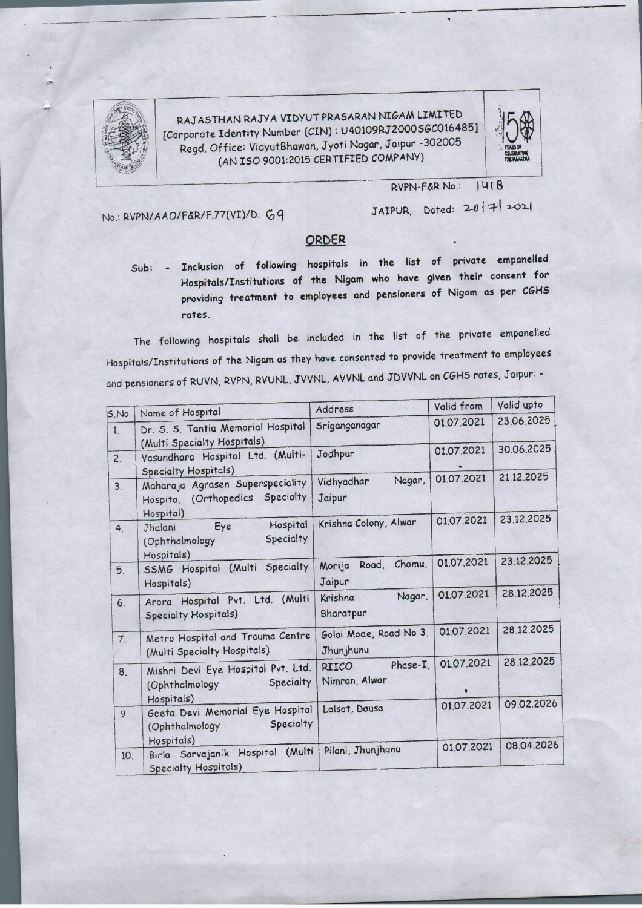

---- - ----- ---··

RAJ AS THAN RAJYA VIDYUT PRASARAN NIGAM LIMITED [Corporate Identity Number (CIN): U40109RJ2000SGC016485] Regd. Office: VidyutBhawan, Jyoti Nagar, Jaipur -302005 (AN ISO 9001:2015 CERTIFIED COMPANY)



No.: RVPN/AAO/F&R/F.77(VI)/D. 69

**RVPN-F&R No.: 1418** 

JAIPUR, Dated:  $20$  |  $7$ | 2021

## ORDER

Sub: - Inclusion of following hospitals in the list of **private empanelled**  Hospitals/Institutions **of the Nigam who have given their consent** for providing treatment to employees and pensioners of Nigam as per CGHS **rotes.** 

The following hospitals shall be included in the list of the private empanelled Hospitals/Institutions of the Nigam as they have ecnsenred to provide treatment to employees and pensioners of RUVN, RVPN, RVUNL, JVVNL, AVVNL and JDVVNL on CGHS rates, Jaipur: -

| 5.No             | Name of Hospital                                                                    | Address                                   | Valid from | Valid upto |
|------------------|-------------------------------------------------------------------------------------|-------------------------------------------|------------|------------|
| $\ddot{1}$ .     | Dr. S. S. Tantia Memorial Hospital<br>(Multi Specialty Hospitals)                   | Sriganganagar                             | 01.07.2021 | 23.06.2025 |
| $\overline{c}$ . | Vasundhara Hospital Ltd. (Multi-<br><b>Specialty Hospitals)</b>                     | Jodhpur                                   | 01.07.2021 | 30.06.2025 |
| 3.               | Maharaja Agrasen Superspeciality<br>(Orthopedics Specialty<br>Hospita,<br>Hospital) | Nagar,<br>Vidhyadhar<br>Jaipur            | 01.07.2021 | 21.12.2025 |
| 4.               | Hospital<br>Eye<br>Jhalani<br>Specialty<br>(Ophthalmology<br>Hospitals)             | Krishna Colony, Alwar                     | 01.07.2021 | 23.12.2025 |
| 5.               | SSMG Hospital (Multi Specialty<br>Hospitals)                                        | Chomu,<br>Road,<br>Morija<br>Jaipur       | 01.07.2021 | 23.12.2025 |
| 6.               | Arora Hospital Pvt. Ltd. (Multi<br>Specialty Hospitals)                             | Nagar,<br>Krishna<br>Bharatpur            | 01.07.2021 | 28.12.2025 |
| 7.               | Metro Hospital and Trauma Centre<br>(Multi Specialty Hospitals)                     | Golai Mode, Road No 3,<br>Jhunjhunu       | 01.07.2021 | 28.12.2025 |
| 8.               | Mishri Devi Eye Hospital Pvt. Ltd.<br>Specialty<br>(Ophthalmology<br>Hospitals)     | Phase-I.<br><b>RIICO</b><br>Nimran, Alwar | 01.07.2021 | 28.12.2025 |
| 9.               | Geeta Devi Memorial Eye Hospital<br>Specialty<br>(Ophthalmology                     | Lalsot, Dausa                             | 01.07.2021 | 09.02.2026 |
| 10.              | Hospitals)<br>(Multi<br>Birla Sarvajanik Hospital<br><b>Specialty Hospitals)</b>    | Pilani, Jhunjhunu                         | 01.07.2021 | 08.04.2026 |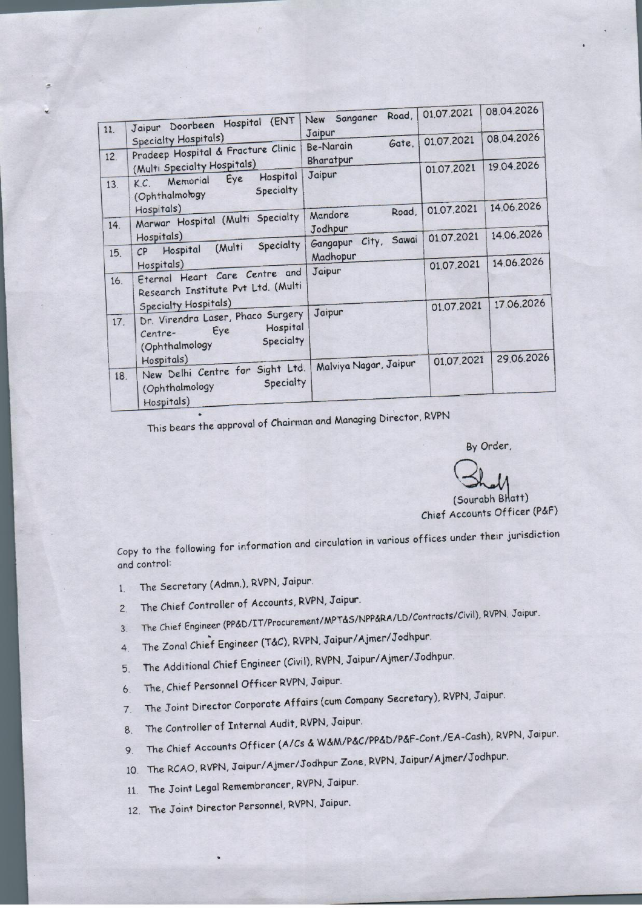| 11. | Jaipur Doorbeen Hospital (ENT                                                                      | Road,<br>New Sanganer        | 01.07.2021 | 08.04.2026 |
|-----|----------------------------------------------------------------------------------------------------|------------------------------|------------|------------|
| 12. | <b>Specialty Hospitals)</b><br>Prodeep Hospital & Fracture Clinic                                  | Jaipur<br>Gate.<br>Be-Narain | 01.07.2021 | 08.04.2026 |
| 13. | (Multi Specialty Hospitals)<br>Hospital<br>Eye<br>Memorial<br>K.C.<br>Specialty<br>(Ophthalmology) | Bharatpur<br>Jaipur          | 01.07.2021 | 19.04.2026 |
| 14. | Hospitals)<br>Marwar Hospital (Multi Specialty                                                     | Road,<br>Mandore<br>Jodhpur  | 01.07.2021 | 14.06.2026 |
| 15. | Hospitals)<br>Specialty<br>(Multi<br>Hospital<br>CP                                                | City, Sawai<br>Gangapur      | 01.07.2021 | 14.06.2026 |
| 16. | Hospitals)<br>Eternal Heart Care Centre and<br>Research Institute Pvt Ltd. (Multi                  | Madhopur<br>Jaipur           | 01.07.2021 | 14.06.2026 |
| 17. | <b>Specialty Hospitals)</b><br>Dr. Virendra Laser, Phaco Surgery                                   | Jaipur                       | 01.07.2021 | 17.06.2026 |
|     | Hospital<br>Eye<br>Centre-<br>Specialty<br>(Ophthalmology                                          |                              |            |            |
| 18. | Hospitals)<br>New Delhi Centre for Sight Ltd.<br>Specialty<br>(Ophthalmology)<br>Hospitals)        | Malviya Nagar, Jaipur        | 01.07.2021 | 29.06.2026 |

This bears the approval of Chairman and Managing Director, RVPN

By Order,

By Order,<br> **Altimes 1996**<br> **Counts Officer** 

Chief Accounts Officer (P&F)

Copy to the following for information and circulation in various offices under their jurisdiction and control:

1. The Secretary (Admn.), RVPN, Jaipur.

---------~

- 2. The Chief Controller of Accounts, RVPN, Jaipur.
- 3. The Chief Engineer (PP&D/IT/Procurement/MPT&S/NPP&RA/LD/Controcts/Civil), RVPN, Jaipur.
- . 4. The Zonal Chief Engineer (T&C), RVPN, Jaipur/Ajmer/Jodhpur.
- 5. The Additional Chief Engineer (Civil), RVPN, Jaipur/Ajmer/Jodhpur.
- 6. The, Chief Personnel Officer RVPN, Jaipur.
- 7. The Joint Director Corporate Affairs (cum Company Secretary), RVPN, Jaipur.
- 8. The Controller of Internal Audit, RVPN, Jaipur.
- 9. The Chief Accounts Officer (A/Cs & W&M/P&C/PP&D/P&f-Cont./EA-Cash}, RVPN, Jaipur.
- 10. The RCAO, RVPN, Jaipur/Ajmer/Jodhpur Zone, RVPN, Jaipur/Ajmer/Jodhpur.
- 11. The Joint Legal Remembrancer, RVPN, Jaipur.
- 12. The Joint Director Personnel, RVPN, Jaipur.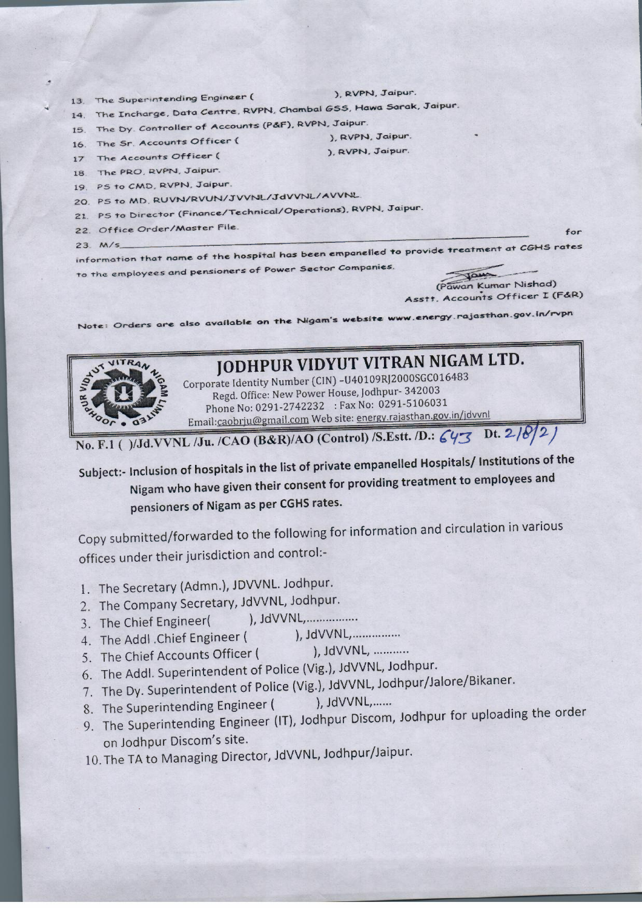

Syan (Pawan Kumar Nishad) Asstt. Accounts Officer I (F&R)

Note: Orders are also available on the Nigam's website www.energy.rajasthan.gov.in/rvpn

## JODHPUR VIDYUT VITRAN NIGAM LTD.

Corporate Identity Number (CIN) -U40109RJ2000SGC016483 Regd. Office: New Power House, Jodhpur- 342003 Phone No: 0291-2742232 : Fax No: 0291-5106031 Email:caobrju@gmail.com Web site: energy.rajasthan.gov.in/jdvvnl

No. F.1 ()/Jd.VVNL /Ju. /CAO (B&R)/AO (Control) /S.Estt. /D.: 643 Dt. 2/8/2)

Subject:- Inclusion of hospitals in the list of private empanelled Hospitals/ Institutions of the Nigam who have given their consent for providing treatment to employees and pensioners of Nigam as per CGHS rates.

Copy submitted/forwarded to the following for information and circulation in various offices under their jurisdiction and control:-

- 1. The Secretary (Admn.), JDVVNL. Jodhpur.
- 2. The Company Secretary, JdVVNL, Jodhpur.
- 3. The Chief Engineer(
- ), JdVVNL,................ 4. The Addl . Chief Engineer (
- ), JdVVNL, ........... 5. The Chief Accounts Officer (
- 6. The Addl. Superintendent of Police (Vig.), JdVVNL, Jodhpur.
- 7. The Dy. Superintendent of Police (Vig.), JdVVNL, Jodhpur/Jalore/Bikaner.
- ), JdVVNL,...... 8. The Superintending Engineer (
- 9. The Superintending Engineer (IT), Jodhpur Discom, Jodhpur for uploading the order on Jodhpur Discom's site.
- 10. The TA to Managing Director, JdVVNL, Jodhpur/Jaipur.